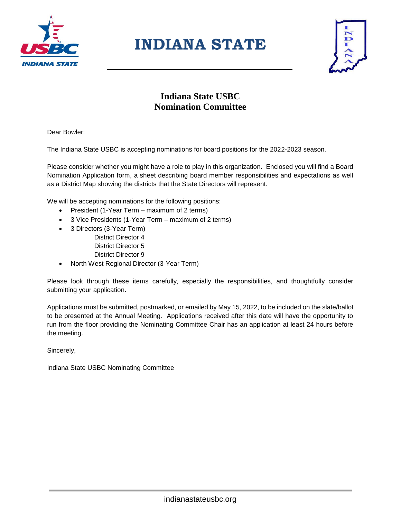

# **INDIANA STATE**



### **Indiana State USBC Nomination Committee**

Dear Bowler:

The Indiana State USBC is accepting nominations for board positions for the 2022-2023 season.

Please consider whether you might have a role to play in this organization. Enclosed you will find a Board Nomination Application form, a sheet describing board member responsibilities and expectations as well as a District Map showing the districts that the State Directors will represent.

We will be accepting nominations for the following positions:

- President (1-Year Term maximum of 2 terms)
- 3 Vice Presidents (1-Year Term maximum of 2 terms)
- 3 Directors (3-Year Term)
	- District Director 4 District Director 5
	- District Director 9
- North West Regional Director (3-Year Term)

Please look through these items carefully, especially the responsibilities, and thoughtfully consider submitting your application.

Applications must be submitted, postmarked, or emailed by May 15, 2022, to be included on the slate/ballot to be presented at the Annual Meeting. Applications received after this date will have the opportunity to run from the floor providing the Nominating Committee Chair has an application at least 24 hours before the meeting.

Sincerely,

Indiana State USBC Nominating Committee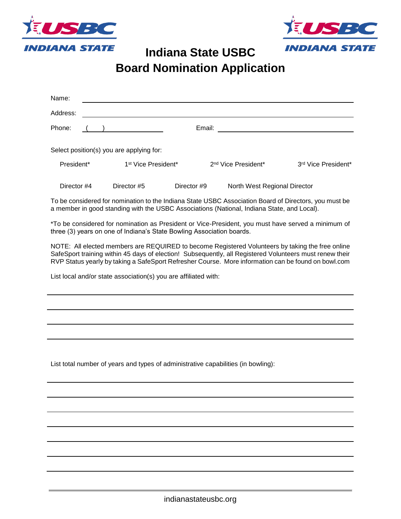



**Indiana State USBC**

**Board Nomination Application**

| Name:                                                                                                                                                                                                                                                                                                              |                                          |                                 |                                                                                            |                                                                                                       |  |  |
|--------------------------------------------------------------------------------------------------------------------------------------------------------------------------------------------------------------------------------------------------------------------------------------------------------------------|------------------------------------------|---------------------------------|--------------------------------------------------------------------------------------------|-------------------------------------------------------------------------------------------------------|--|--|
| Address:                                                                                                                                                                                                                                                                                                           |                                          |                                 |                                                                                            |                                                                                                       |  |  |
| Phone:                                                                                                                                                                                                                                                                                                             |                                          | Email:                          |                                                                                            |                                                                                                       |  |  |
|                                                                                                                                                                                                                                                                                                                    |                                          |                                 |                                                                                            |                                                                                                       |  |  |
|                                                                                                                                                                                                                                                                                                                    | Select position(s) you are applying for: |                                 |                                                                                            |                                                                                                       |  |  |
| President*                                                                                                                                                                                                                                                                                                         |                                          | 1 <sup>st</sup> Vice President* | 2 <sup>nd</sup> Vice President*                                                            | 3 <sup>rd</sup> Vice President*                                                                       |  |  |
| Director #4                                                                                                                                                                                                                                                                                                        | Director #5                              | Director #9                     | North West Regional Director                                                               |                                                                                                       |  |  |
|                                                                                                                                                                                                                                                                                                                    |                                          |                                 | a member in good standing with the USBC Associations (National, Indiana State, and Local). | To be considered for nomination to the Indiana State USBC Association Board of Directors, you must be |  |  |
| *To be considered for nomination as President or Vice-President, you must have served a minimum of<br>three (3) years on one of Indiana's State Bowling Association boards.                                                                                                                                        |                                          |                                 |                                                                                            |                                                                                                       |  |  |
| NOTE: All elected members are REQUIRED to become Registered Volunteers by taking the free online<br>SafeSport training within 45 days of election! Subsequently, all Registered Volunteers must renew their<br>RVP Status yearly by taking a SafeSport Refresher Course. More information can be found on bowl.com |                                          |                                 |                                                                                            |                                                                                                       |  |  |
| List local and/or state association(s) you are affiliated with:                                                                                                                                                                                                                                                    |                                          |                                 |                                                                                            |                                                                                                       |  |  |
|                                                                                                                                                                                                                                                                                                                    |                                          |                                 |                                                                                            |                                                                                                       |  |  |
|                                                                                                                                                                                                                                                                                                                    |                                          |                                 |                                                                                            |                                                                                                       |  |  |
|                                                                                                                                                                                                                                                                                                                    |                                          |                                 |                                                                                            |                                                                                                       |  |  |
|                                                                                                                                                                                                                                                                                                                    |                                          |                                 |                                                                                            |                                                                                                       |  |  |
| List total number of years and types of administrative capabilities (in bowling):                                                                                                                                                                                                                                  |                                          |                                 |                                                                                            |                                                                                                       |  |  |
|                                                                                                                                                                                                                                                                                                                    |                                          |                                 |                                                                                            |                                                                                                       |  |  |
|                                                                                                                                                                                                                                                                                                                    |                                          |                                 |                                                                                            |                                                                                                       |  |  |
|                                                                                                                                                                                                                                                                                                                    |                                          |                                 |                                                                                            |                                                                                                       |  |  |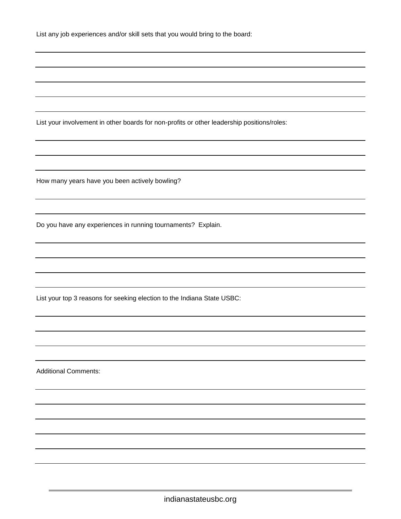| List any job experiences and/or skill sets that you would bring to the board: |  |  |  |
|-------------------------------------------------------------------------------|--|--|--|
|-------------------------------------------------------------------------------|--|--|--|

List your involvement in other boards for non-profits or other leadership positions/roles:

How many years have you been actively bowling?

Do you have any experiences in running tournaments? Explain.

List your top 3 reasons for seeking election to the Indiana State USBC:

Additional Comments:

×.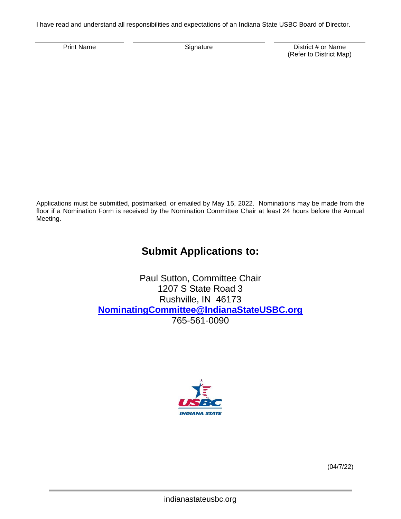I have read and understand all responsibilities and expectations of an Indiana State USBC Board of Director.

Print Name **District # or Name** Signature **Constant Construct American** District # or Name (Refer to District Map)

Applications must be submitted, postmarked, or emailed by May 15, 2022. Nominations may be made from the floor if a Nomination Form is received by the Nomination Committee Chair at least 24 hours before the Annual Meeting.

### **Submit Applications to:**

Paul Sutton, Committee Chair 1207 S State Road 3 Rushville, IN 46173 **[NominatingCommittee@IndianaStateUSBC.org](about:blank)** 765-561-0090



(04/7/22)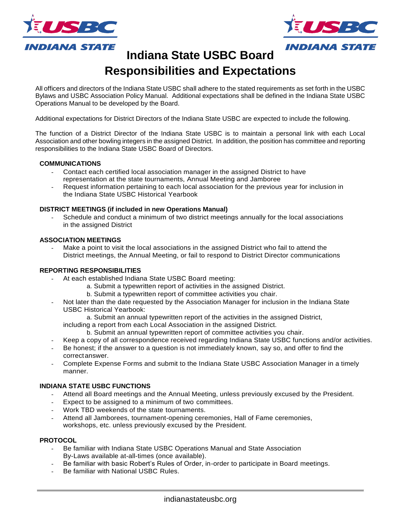



**Indiana State USBC Board**

## **Responsibilities and Expectations**

All officers and directors of the Indiana State USBC shall adhere to the stated requirements as set forth in the USBC Bylaws and USBC Association Policy Manual. Additional expectations shall be defined in the Indiana State USBC Operations Manual to be developed by the Board.

Additional expectations for District Directors of the Indiana State USBC are expected to include the following.

The function of a District Director of the Indiana State USBC is to maintain a personal link with each Local Association and other bowling integers in the assigned District. In addition, the position has committee and reporting responsibilities to the Indiana State USBC Board of Directors.

#### **COMMUNICATIONS**

- Contact each certified local association manager in the assigned District to have representation at the state tournaments, Annual Meeting and Jamboree
- Request information pertaining to each local association for the previous year for inclusion in the Indiana State USBC Historical Yearbook

#### **DISTRICT MEETINGS (if included in new Operations Manual)**

Schedule and conduct a minimum of two district meetings annually for the local associations in the assigned District

#### **ASSOCIATION MEETINGS**

Make a point to visit the local associations in the assigned District who fail to attend the District meetings, the Annual Meeting, or fail to respond to District Director communications

#### **REPORTING RESPONSIBILITIES**

- At each established Indiana State USBC Board meeting:
	- a. Submit a typewritten report of activities in the assigned District.
	- b. Submit a typewritten report of committee activities you chair.
- Not later than the date requested by the Association Manager for inclusion in the Indiana State USBC Historical Yearbook:
	- a. Submit an annual typewritten report of the activities in the assigned District,

including a report from each Local Association in the assigned District.

- b. Submit an annual typewritten report of committee activities you chair.
- Keep a copy of all correspondence received regarding Indiana State USBC functions and/or activities.
- Be honest; if the answer to a question is not immediately known, say so, and offer to find the correctanswer.
- Complete Expense Forms and submit to the Indiana State USBC Association Manager in a timely manner.

#### **INDIANA STATE USBC FUNCTIONS**

- Attend all Board meetings and the Annual Meeting, unless previously excused by the President.
- Expect to be assigned to a minimum of two committees.
- Work TBD weekends of the state tournaments.
- Attend all Jamborees, tournament-opening ceremonies, Hall of Fame ceremonies, workshops, etc. unless previously excused by the President.

#### **PROTOCOL**

- Be familiar with Indiana State USBC Operations Manual and State Association By-Laws available at-all-times (once available).
- Be familiar with basic Robert's Rules of Order, in-order to participate in Board meetings.
- Be familiar with National USBC Rules.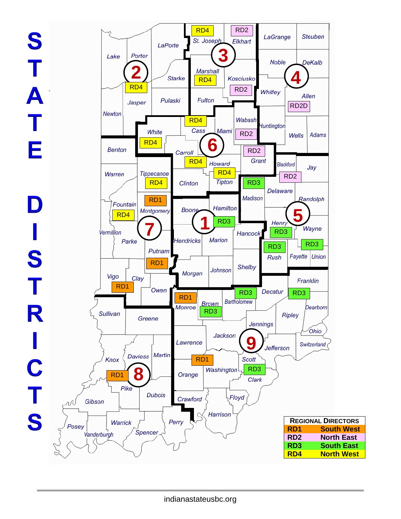